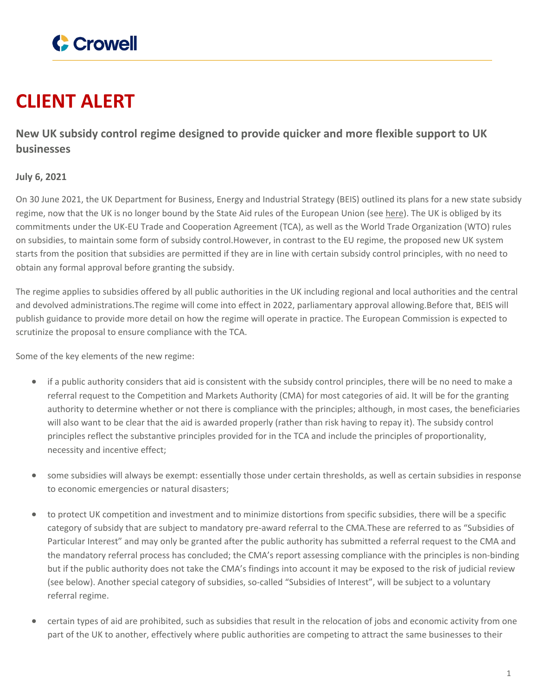

## **CLIENT ALERT**

**New UK subsidy control regime designed to provide quicker and more flexible support to UK businesses**

## **July 6, 2021**

On 30 June 2021, the UK Department for Business, Energy and Industrial Strategy (BEIS) outlined its plans for a new state subsidy regime, now that the UK is no longer bound by the State Aid rules of the European Union (see [here](https://publications.parliament.uk/pa/bills/cbill/58-02/0135/210135.pdf)). The UK is obliged by its commitments under the UK-EU Trade and Cooperation Agreement (TCA), as well as the World Trade Organization (WTO) rules on subsidies, to maintain some form of subsidy control.However, in contrast to the EU regime, the proposed new UK system starts from the position that subsidies are permitted if they are in line with certain subsidy control principles, with no need to obtain any formal approval before granting the subsidy.

The regime applies to subsidies offered by all public authorities in the UK including regional and local authorities and the central and devolved administrations.The regime will come into effect in 2022, parliamentary approval allowing.Before that, BEIS will publish guidance to provide more detail on how the regime will operate in practice. The European Commission is expected to scrutinize the proposal to ensure compliance with the TCA.

Some of the key elements of the new regime:

- if a public authority considers that aid is consistent with the subsidy control principles, there will be no need to make a referral request to the Competition and Markets Authority (CMA) for most categories of aid. It will be for the granting authority to determine whether or not there is compliance with the principles; although, in most cases, the beneficiaries will also want to be clear that the aid is awarded properly (rather than risk having to repay it). The subsidy control principles reflect the substantive principles provided for in the TCA and include the principles of proportionality, necessity and incentive effect;
- some subsidies will always be exempt: essentially those under certain thresholds, as well as certain subsidies in response to economic emergencies or natural disasters;
- to protect UK competition and investment and to minimize distortions from specific subsidies, there will be a specific category of subsidy that are subject to mandatory pre-award referral to the CMA.These are referred to as "Subsidies of Particular Interest" and may only be granted after the public authority has submitted a referral request to the CMA and the mandatory referral process has concluded; the CMA's report assessing compliance with the principles is non-binding but if the public authority does not take the CMA's findings into account it may be exposed to the risk of judicial review (see below). Another special category of subsidies, so-called "Subsidies of Interest", will be subject to a voluntary referral regime.
- certain types of aid are prohibited, such as subsidies that result in the relocation of jobs and economic activity from one part of the UK to another, effectively where public authorities are competing to attract the same businesses to their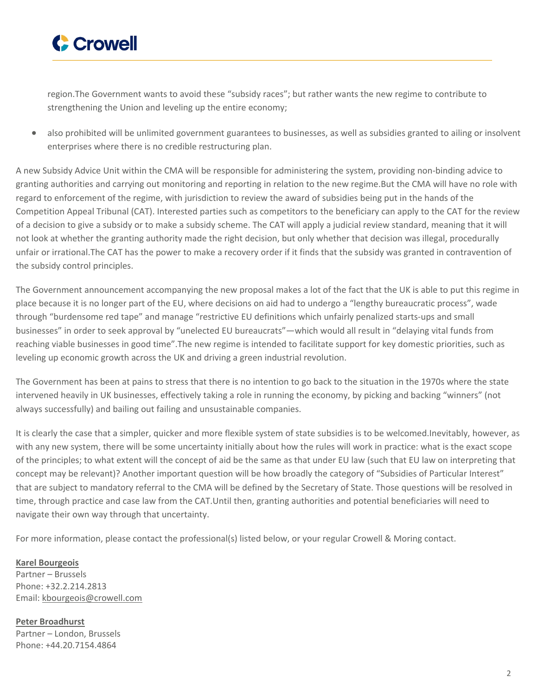

region.The Government wants to avoid these "subsidy races"; but rather wants the new regime to contribute to strengthening the Union and leveling up the entire economy;

 also prohibited will be unlimited government guarantees to businesses, as well as subsidies granted to ailing or insolvent enterprises where there is no credible restructuring plan.

A new Subsidy Advice Unit within the CMA will be responsible for administering the system, providing non-binding advice to granting authorities and carrying out monitoring and reporting in relation to the new regime.But the CMA will have no role with regard to enforcement of the regime, with jurisdiction to review the award of subsidies being put in the hands of the Competition Appeal Tribunal (CAT). Interested parties such as competitors to the beneficiary can apply to the CAT for the review of a decision to give a subsidy or to make a subsidy scheme. The CAT will apply a judicial review standard, meaning that it will not look at whether the granting authority made the right decision, but only whether that decision was illegal, procedurally unfair or irrational.The CAT has the power to make a recovery order if it finds that the subsidy was granted in contravention of the subsidy control principles.

The Government announcement accompanying the new proposal makes a lot of the fact that the UK is able to put this regime in place because it is no longer part of the EU, where decisions on aid had to undergo a "lengthy bureaucratic process", wade through "burdensome red tape" and manage "restrictive EU definitions which unfairly penalized starts-ups and small businesses" in order to seek approval by "unelected EU bureaucrats"—which would all result in "delaying vital funds from reaching viable businesses in good time".The new regime is intended to facilitate support for key domestic priorities, such as leveling up economic growth across the UK and driving a green industrial revolution.

The Government has been at pains to stress that there is no intention to go back to the situation in the 1970s where the state intervened heavily in UK businesses, effectively taking a role in running the economy, by picking and backing "winners" (not always successfully) and bailing out failing and unsustainable companies.

It is clearly the case that a simpler, quicker and more flexible system of state subsidies is to be welcomed.Inevitably, however, as with any new system, there will be some uncertainty initially about how the rules will work in practice: what is the exact scope of the principles; to what extent will the concept of aid be the same as that under EU law (such that EU law on interpreting that concept may be relevant)? Another important question will be how broadly the category of "Subsidies of Particular Interest" that are subject to mandatory referral to the CMA will be defined by the Secretary of State. Those questions will be resolved in time, through practice and case law from the CAT.Until then, granting authorities and potential beneficiaries will need to navigate their own way through that uncertainty.

For more information, please contact the professional(s) listed below, or your regular Crowell & Moring contact.

**Karel [Bourgeois](https://www.crowell.com/professionals/Karel-Bourgeois)** Partner – Brussels Phone: +32.2.214.2813 Email: [kbourgeois@crowell.com](mailto:kbourgeois@crowell.com)

**Peter [Broadhurst](https://www.crowell.com/professionals/Peter-Broadhurst)** Partner – London, Brussels Phone: +44.20.7154.4864